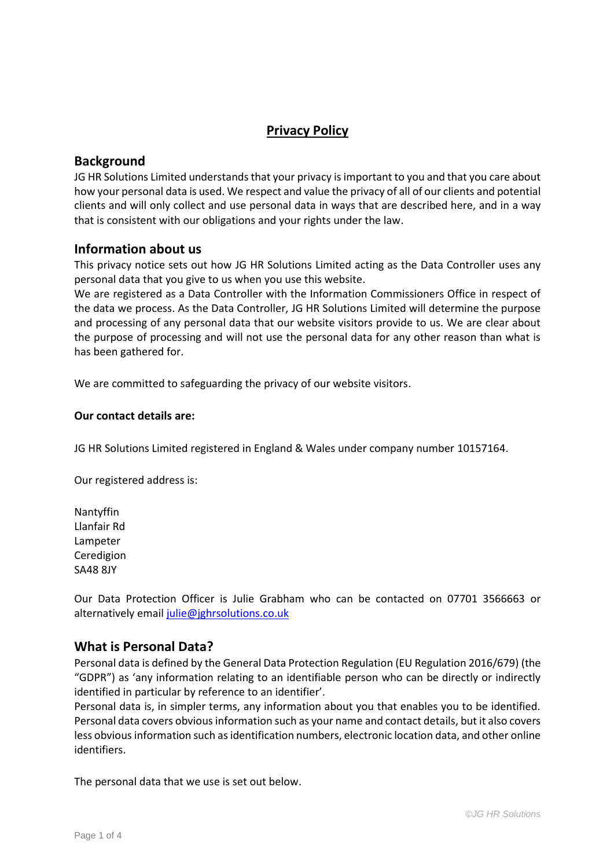# **Privacy Policy**

### **Background**

JG HR Solutions Limited understands that your privacy is important to you and that you care about how your personal data is used. We respect and value the privacy of all of our clients and potential clients and will only collect and use personal data in ways that are described here, and in a way that is consistent with our obligations and your rights under the law.

#### **Information about us**

This privacy notice sets out how JG HR Solutions Limited acting as the Data Controller uses any personal data that you give to us when you use this website.

We are registered as a Data Controller with the Information Commissioners Office in respect of the data we process. As the Data Controller, JG HR Solutions Limited will determine the purpose and processing of any personal data that our website visitors provide to us. We are clear about the purpose of processing and will not use the personal data for any other reason than what is has been gathered for.

We are committed to safeguarding the privacy of our website visitors.

#### **Our contact details are:**

JG HR Solutions Limited registered in England & Wales under company number 10157164.

Our registered address is:

Nantyffin Llanfair Rd Lampeter Ceredigion SA48 8JY

Our Data Protection Officer is Julie Grabham who can be contacted on 07701 3566663 or alternatively email [julie@jghrsolutions.co.uk](mailto:julie@jghrsolutions.co.uk)

#### **What is Personal Data?**

Personal data is defined by the General Data Protection Regulation (EU Regulation 2016/679) (the "GDPR") as 'any information relating to an identifiable person who can be directly or indirectly identified in particular by reference to an identifier'.

Personal data is, in simpler terms, any information about you that enables you to be identified. Personal data covers obvious information such as your name and contact details, but it also covers less obvious information such as identification numbers, electronic location data, and other online identifiers.

The personal data that we use is set out below.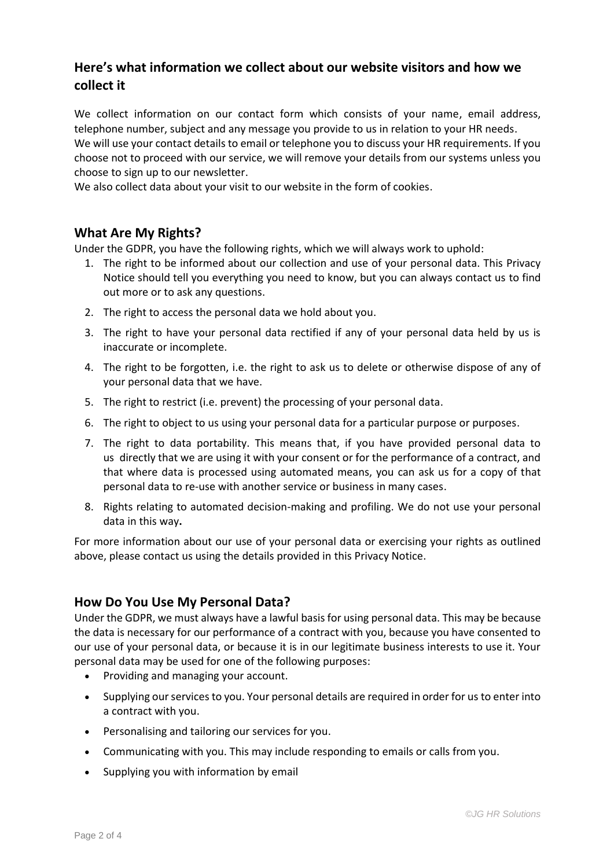# **Here's what information we collect about our website visitors and how we collect it**

We collect information on our contact form which consists of your name, email address, telephone number, subject and any message you provide to us in relation to your HR needs. We will use your contact details to email or telephone you to discuss your HR requirements. If you choose not to proceed with our service, we will remove your details from our systems unless you choose to sign up to our newsletter.

We also collect data about your visit to our website in the form of cookies.

#### **What Are My Rights?**

Under the GDPR, you have the following rights, which we will always work to uphold:

- 1. The right to be informed about our collection and use of your personal data. This Privacy Notice should tell you everything you need to know, but you can always contact us to find out more or to ask any questions.
- 2. The right to access the personal data we hold about you.
- 3. The right to have your personal data rectified if any of your personal data held by us is inaccurate or incomplete.
- 4. The right to be forgotten, i.e. the right to ask us to delete or otherwise dispose of any of your personal data that we have.
- 5. The right to restrict (i.e. prevent) the processing of your personal data.
- 6. The right to object to us using your personal data for a particular purpose or purposes.
- 7. The right to data portability. This means that, if you have provided personal data to us directly that we are using it with your consent or for the performance of a contract, and that where data is processed using automated means, you can ask us for a copy of that personal data to re-use with another service or business in many cases.
- 8. Rights relating to automated decision-making and profiling. We do not use your personal data in this way**.**

For more information about our use of your personal data or exercising your rights as outlined above, please contact us using the details provided in this Privacy Notice.

#### **How Do You Use My Personal Data?**

Under the GDPR, we must always have a lawful basis for using personal data. This may be because the data is necessary for our performance of a contract with you, because you have consented to our use of your personal data, or because it is in our legitimate business interests to use it. Your personal data may be used for one of the following purposes:

- Providing and managing your account.
- Supplying our services to you. Your personal details are required in order for us to enter into a contract with you.
- Personalising and tailoring our services for you.
- Communicating with you. This may include responding to emails or calls from you.
- Supplying you with information by email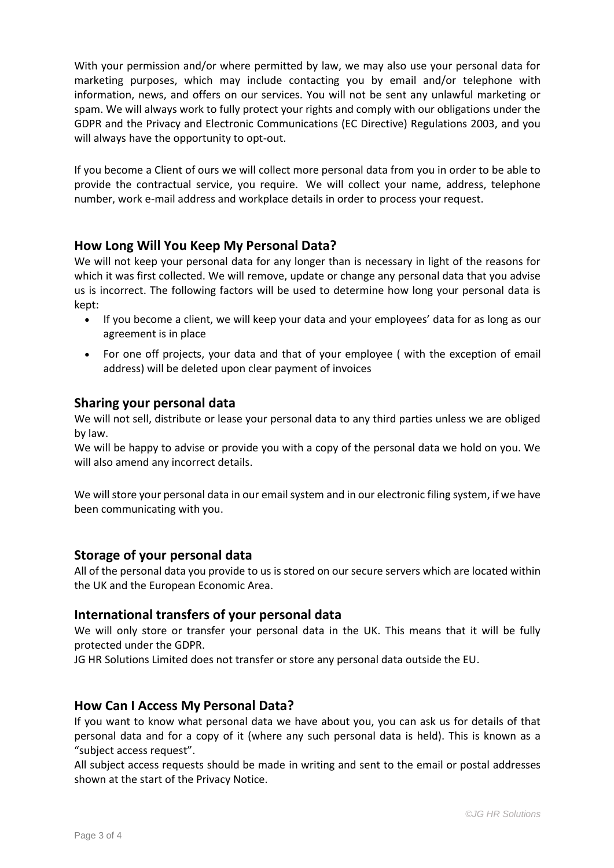With your permission and/or where permitted by law, we may also use your personal data for marketing purposes, which may include contacting you by email and/or telephone with information, news, and offers on our services. You will not be sent any unlawful marketing or spam. We will always work to fully protect your rights and comply with our obligations under the GDPR and the Privacy and Electronic Communications (EC Directive) Regulations 2003, and you will always have the opportunity to opt-out.

If you become a Client of ours we will collect more personal data from you in order to be able to provide the contractual service, you require. We will collect your name, address, telephone number, work e-mail address and workplace details in order to process your request.

## **How Long Will You Keep My Personal Data?**

We will not keep your personal data for any longer than is necessary in light of the reasons for which it was first collected. We will remove, update or change any personal data that you advise us is incorrect. The following factors will be used to determine how long your personal data is kept:

- If you become a client, we will keep your data and your employees' data for as long as our agreement is in place
- For one off projects, your data and that of your employee ( with the exception of email address) will be deleted upon clear payment of invoices

## **Sharing your personal data**

We will not sell, distribute or lease your personal data to any third parties unless we are obliged by law.

We will be happy to advise or provide you with a copy of the personal data we hold on you. We will also amend any incorrect details.

We will store your personal data in our email system and in our electronic filing system, if we have been communicating with you.

## **Storage of your personal data**

All of the personal data you provide to us is stored on our secure servers which are located within the UK and the European Economic Area.

#### **International transfers of your personal data**

We will only store or transfer your personal data in the UK. This means that it will be fully protected under the GDPR.

JG HR Solutions Limited does not transfer or store any personal data outside the EU.

## **How Can I Access My Personal Data?**

If you want to know what personal data we have about you, you can ask us for details of that personal data and for a copy of it (where any such personal data is held). This is known as a "subject access request".

All subject access requests should be made in writing and sent to the email or postal addresses shown at the start of the Privacy Notice.